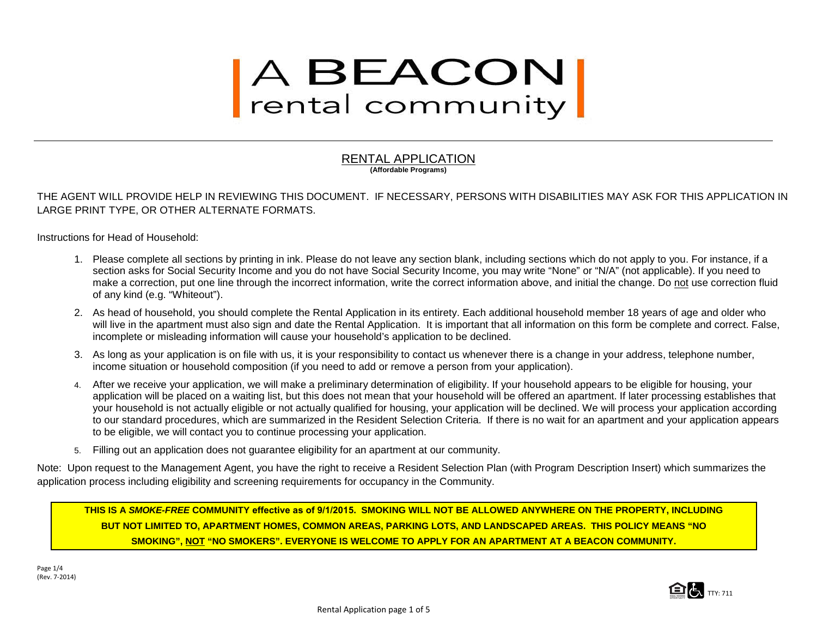# A BEACON<br>rental community

#### RENTAL APPLICATION **(Affordable Programs)**

THE AGENT WILL PROVIDE HELP IN REVIEWING THIS DOCUMENT. IF NECESSARY, PERSONS WITH DISABILITIES MAY ASK FOR THIS APPLICATION IN LARGE PRINT TYPE, OR OTHER ALTERNATE FORMATS.

Instructions for Head of Household:

- 1. Please complete all sections by printing in ink. Please do not leave any section blank, including sections which do not apply to you. For instance, if a section asks for Social Security Income and you do not have Social Security Income, you may write "None" or "N/A" (not applicable). If you need to make a correction, put one line through the incorrect information, write the correct information above, and initial the change. Do not use correction fluid of any kind (e.g. "Whiteout").
- 2. As head of household, you should complete the Rental Application in its entirety. Each additional household member 18 years of age and older who will live in the apartment must also sign and date the Rental Application. It is important that all information on this form be complete and correct. False, incomplete or misleading information will cause your household's application to be declined.
- 3. As long as your application is on file with us, it is your responsibility to contact us whenever there is a change in your address, telephone number, income situation or household composition (if you need to add or remove a person from your application).
- 4. After we receive your application, we will make a preliminary determination of eligibility. If your household appears to be eligible for housing, your application will be placed on a waiting list, but this does not mean that your household will be offered an apartment. If later processing establishes that your household is not actually eligible or not actually qualified for housing, your application will be declined. We will process your application according to our standard procedures, which are summarized in the Resident Selection Criteria. If there is no wait for an apartment and your application appears to be eligible, we will contact you to continue processing your application.
- 5. Filling out an application does not guarantee eligibility for an apartment at our community.

Note: Upon request to the Management Agent, you have the right to receive a Resident Selection Plan (with Program Description Insert) which summarizes the application process including eligibility and screening requirements for occupancy in the Community.

**THIS IS A** *SMOKE-FREE* **COMMUNITY effective as of 9/1/2015. SMOKING WILL NOT BE ALLOWED ANYWHERE ON THE PROPERTY, INCLUDING BUT NOT LIMITED TO, APARTMENT HOMES, COMMON AREAS, PARKING LOTS, AND LANDSCAPED AREAS. THIS POLICY MEANS "NO SMOKING", NOT "NO SMOKERS". EVERYONE IS WELCOME TO APPLY FOR AN APARTMENT AT A BEACON COMMUNITY.** 

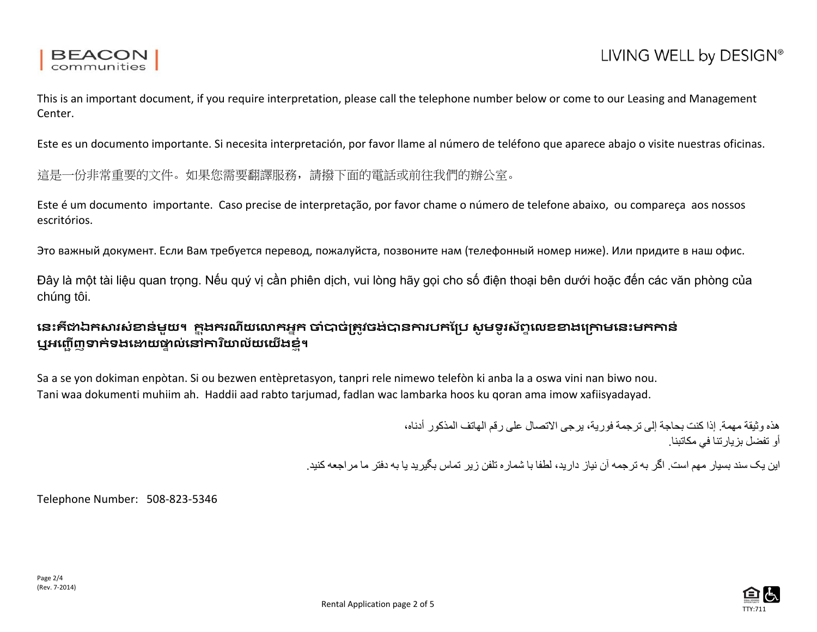This is an important document, if you require interpretation, please call the telephone number below or come to our Leasing and Management Center.

Este es un documento importante. Si necesita interpretación, por favor llame al número de teléfono que aparece abajo o visite nuestras oficinas.

這是一份非常重要的文件。如果您需要翻譯服務,請撥下面的電話或前往我們的辦公室。

Este é um documento importante. Caso precise de interpretação, por favor chame o número de telefone abaixo, ou compareça aos nossos escritórios.

Это важный документ. Если Вам требуется перевод, пожалуйста, позвоните нам (телефонный номер ниже). Или придите в наш офис.

Đây là một tài liệu quan trọng. Nếu quý vị cần phiên dịch, vui lòng hãy gọi cho số điện thoại bên dưới hoặc đến các văn phòng của chúng tôi.

## **េនះគឺ�ឯក�រសំ�ន់មួយ។ ក� �ងករណីយេ�កអ�ក �ំ�ច់្រត�វចង់�ន�របកែ្រប សូ មទូ រស័ព� េលខ�ងេ្រ�មេនះមក�ន់ ឬអញ្ជើញទាក់ទង**ឌោយថាល់នៅការិយាល័យយើងខំ។

Sa a se yon dokiman enpòtan. Si ou bezwen entèpretasyon, tanpri rele nimewo telefòn ki anba la a oswa vini nan biwo nou. Tani waa dokumenti muhiim ah. Haddii aad rabto tarjumad, fadlan wac lambarka hoos ku qoran ama imow xafiisyadayad.

> ھذه وثیقة مھمة. إذا كنت بحاجة إلى ترجمة فوریة، یرجى الاتصال على رقم الھاتف المذكور أدناه، أو تفضل بزیارتنا في مكاتبنا.

این یک سند بسیار مھم است. اگر بھ ترجمھ آن نیاز دارید، لطفا با شماره تلفن زیر تماس بگیرید یا بھ دفتر ما مراجعھ کنید.

Telephone Number: 508-823-5346

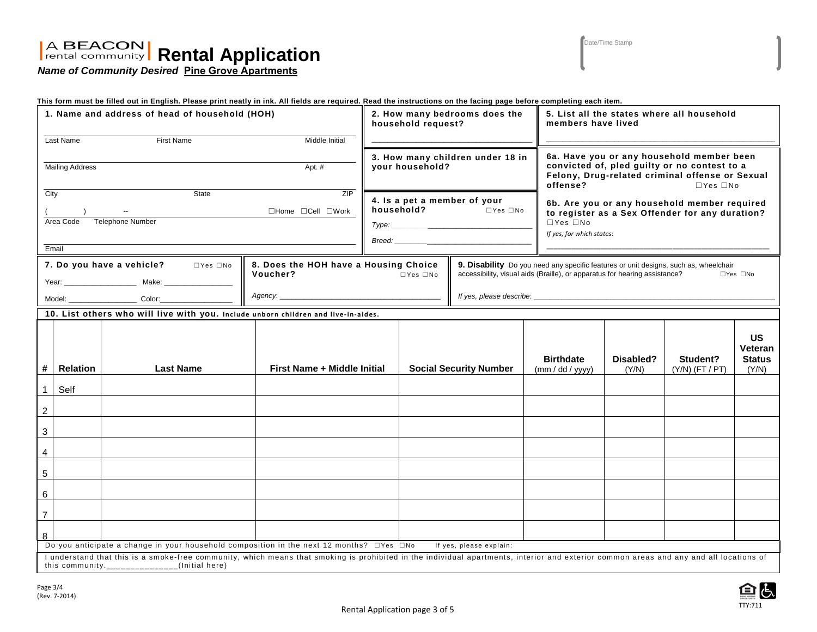# **Rental Application**

Date/Time Stamp

*Name of Community Desired* **Pine Grove Apartments**

|                                                                                                                                                                                                                                                                                                                                 |                                     | This form must be filled out in English. Please print neatly in ink. All fields are required. Read the instructions on the facing page before completing each item. |                             |                                                     |                                                     |                                                                                                                                                                                            |                      |                                                                                                                                                                                  |                               |                                                |  |
|---------------------------------------------------------------------------------------------------------------------------------------------------------------------------------------------------------------------------------------------------------------------------------------------------------------------------------|-------------------------------------|---------------------------------------------------------------------------------------------------------------------------------------------------------------------|-----------------------------|-----------------------------------------------------|-----------------------------------------------------|--------------------------------------------------------------------------------------------------------------------------------------------------------------------------------------------|----------------------|----------------------------------------------------------------------------------------------------------------------------------------------------------------------------------|-------------------------------|------------------------------------------------|--|
| 1. Name and address of head of household (HOH)                                                                                                                                                                                                                                                                                  |                                     |                                                                                                                                                                     |                             |                                                     | 2. How many bedrooms does the<br>household request? |                                                                                                                                                                                            |                      | 5. List all the states where all household<br>members have lived                                                                                                                 |                               |                                                |  |
| Last Name<br><b>First Name</b><br>Middle Initial                                                                                                                                                                                                                                                                                |                                     |                                                                                                                                                                     |                             |                                                     |                                                     |                                                                                                                                                                                            |                      |                                                                                                                                                                                  |                               |                                                |  |
|                                                                                                                                                                                                                                                                                                                                 |                                     |                                                                                                                                                                     |                             |                                                     |                                                     |                                                                                                                                                                                            |                      |                                                                                                                                                                                  |                               |                                                |  |
| <b>Mailing Address</b><br>Apt. #                                                                                                                                                                                                                                                                                                |                                     |                                                                                                                                                                     |                             | 3. How many children under 18 in<br>your household? |                                                     |                                                                                                                                                                                            |                      | 6a. Have you or any household member been<br>convicted of, pled guilty or no contest to a<br>Felony, Drug-related criminal offense or Sexual<br>offense?<br>$\Box$ Yes $\Box$ No |                               |                                                |  |
| State<br>ZIP<br>City                                                                                                                                                                                                                                                                                                            |                                     |                                                                                                                                                                     |                             |                                                     |                                                     | 4. Is a pet a member of your                                                                                                                                                               |                      |                                                                                                                                                                                  |                               |                                                |  |
|                                                                                                                                                                                                                                                                                                                                 | $\Box$ Home $\Box$ Cell $\Box$ Work |                                                                                                                                                                     |                             |                                                     | household?                                          | $\Box$ Yes $\Box$ No                                                                                                                                                                       |                      | 6b. Are you or any household member required<br>to register as a Sex Offender for any duration?                                                                                  |                               |                                                |  |
|                                                                                                                                                                                                                                                                                                                                 | Area Code                           | Telephone Number                                                                                                                                                    |                             | Type:                                               |                                                     |                                                                                                                                                                                            | $\Box$ Yes $\Box$ No |                                                                                                                                                                                  |                               |                                                |  |
|                                                                                                                                                                                                                                                                                                                                 |                                     |                                                                                                                                                                     |                             |                                                     |                                                     |                                                                                                                                                                                            |                      | If yes, for which states:                                                                                                                                                        |                               |                                                |  |
|                                                                                                                                                                                                                                                                                                                                 | Email                               |                                                                                                                                                                     |                             |                                                     | Breed: <b>Example 2018</b>                          |                                                                                                                                                                                            |                      |                                                                                                                                                                                  |                               |                                                |  |
| 8. Does the HOH have a Housing Choice<br>7. Do you have a vehicle? DYes DNo<br>Voucher?                                                                                                                                                                                                                                         |                                     |                                                                                                                                                                     |                             | $\Box$ Yes $\Box$ No                                |                                                     | 9. Disability Do you need any specific features or unit designs, such as, wheelchair<br>accessibility, visual aids (Braille), or apparatus for hearing assistance?<br>$\Box$ Yes $\Box$ No |                      |                                                                                                                                                                                  |                               |                                                |  |
|                                                                                                                                                                                                                                                                                                                                 |                                     |                                                                                                                                                                     |                             |                                                     |                                                     |                                                                                                                                                                                            |                      |                                                                                                                                                                                  |                               |                                                |  |
|                                                                                                                                                                                                                                                                                                                                 |                                     |                                                                                                                                                                     |                             |                                                     |                                                     |                                                                                                                                                                                            |                      |                                                                                                                                                                                  |                               |                                                |  |
|                                                                                                                                                                                                                                                                                                                                 |                                     | 10. List others who will live with you. Include unborn children and live-in-aides.                                                                                  |                             |                                                     |                                                     |                                                                                                                                                                                            |                      |                                                                                                                                                                                  |                               |                                                |  |
| $\#$                                                                                                                                                                                                                                                                                                                            | <b>Relation</b>                     | <b>Last Name</b>                                                                                                                                                    | First Name + Middle Initial |                                                     |                                                     | <b>Social Security Number</b>                                                                                                                                                              |                      | Disabled?<br>(Y/N)                                                                                                                                                               | Student?<br>$(Y/N)$ (FT / PT) | <b>US</b><br>Veteran<br><b>Status</b><br>(Y/N) |  |
| $\mathbf{1}$                                                                                                                                                                                                                                                                                                                    | Self                                |                                                                                                                                                                     |                             |                                                     |                                                     |                                                                                                                                                                                            |                      |                                                                                                                                                                                  |                               |                                                |  |
| $\overline{c}$                                                                                                                                                                                                                                                                                                                  |                                     |                                                                                                                                                                     |                             |                                                     |                                                     |                                                                                                                                                                                            |                      |                                                                                                                                                                                  |                               |                                                |  |
| $\mathbf{3}$                                                                                                                                                                                                                                                                                                                    |                                     |                                                                                                                                                                     |                             |                                                     |                                                     |                                                                                                                                                                                            |                      |                                                                                                                                                                                  |                               |                                                |  |
| $\overline{4}$                                                                                                                                                                                                                                                                                                                  |                                     |                                                                                                                                                                     |                             |                                                     |                                                     |                                                                                                                                                                                            |                      |                                                                                                                                                                                  |                               |                                                |  |
| $\sqrt{5}$                                                                                                                                                                                                                                                                                                                      |                                     |                                                                                                                                                                     |                             |                                                     |                                                     |                                                                                                                                                                                            |                      |                                                                                                                                                                                  |                               |                                                |  |
| $\,6\,$                                                                                                                                                                                                                                                                                                                         |                                     |                                                                                                                                                                     |                             |                                                     |                                                     |                                                                                                                                                                                            |                      |                                                                                                                                                                                  |                               |                                                |  |
| $\overline{7}$                                                                                                                                                                                                                                                                                                                  |                                     |                                                                                                                                                                     |                             |                                                     |                                                     |                                                                                                                                                                                            |                      |                                                                                                                                                                                  |                               |                                                |  |
| 8                                                                                                                                                                                                                                                                                                                               |                                     |                                                                                                                                                                     |                             |                                                     |                                                     |                                                                                                                                                                                            |                      |                                                                                                                                                                                  |                               |                                                |  |
| Do you anticipate a change in your household composition in the next 12 months? $\square$ Yes $\square$ No<br>If yes, please explain:<br>I understand that this is a smoke-free community, which means that smoking is prohibited in the individual apartments, interior and exterior common areas and any and all locations of |                                     |                                                                                                                                                                     |                             |                                                     |                                                     |                                                                                                                                                                                            |                      |                                                                                                                                                                                  |                               |                                                |  |
|                                                                                                                                                                                                                                                                                                                                 |                                     | this community._______________(Initial here)                                                                                                                        |                             |                                                     |                                                     |                                                                                                                                                                                            |                      |                                                                                                                                                                                  |                               |                                                |  |

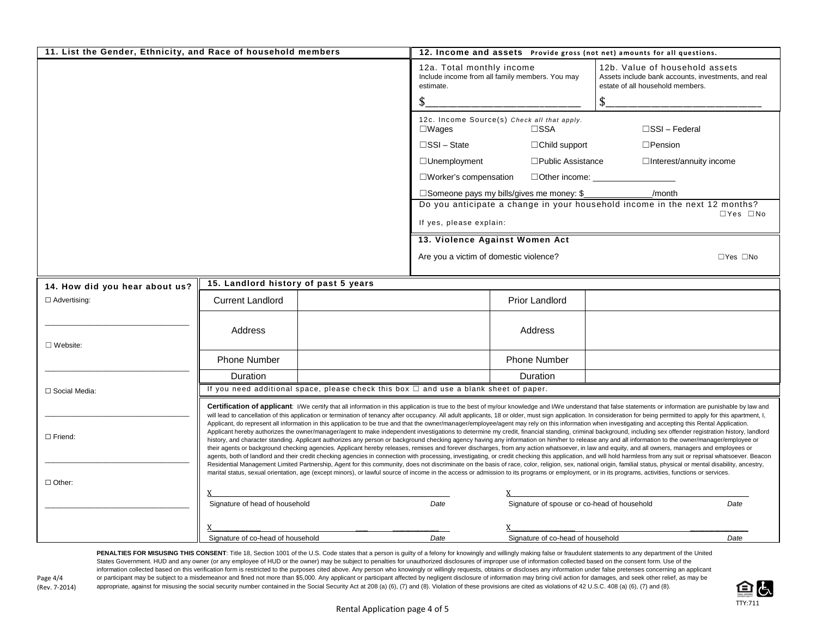| 11. List the Gender, Ethnicity, and Race of household members                                                                                                                                                                                                                                                                                                                                                                                                                                                                                                                                                                                                                                                                                                                                                                                                                                                                                                                                                                                                                                                                                                                                                                                                                                                                                                                                                                                                                                                                                                                                                                                                                                                                                                                                                                                                                                                                                          |                                                                                            | 12. Income and assets Provide gross (not net) amounts for all questions.                                   |                                                                                                    |                                                 |                                                                                                                           |  |  |
|--------------------------------------------------------------------------------------------------------------------------------------------------------------------------------------------------------------------------------------------------------------------------------------------------------------------------------------------------------------------------------------------------------------------------------------------------------------------------------------------------------------------------------------------------------------------------------------------------------------------------------------------------------------------------------------------------------------------------------------------------------------------------------------------------------------------------------------------------------------------------------------------------------------------------------------------------------------------------------------------------------------------------------------------------------------------------------------------------------------------------------------------------------------------------------------------------------------------------------------------------------------------------------------------------------------------------------------------------------------------------------------------------------------------------------------------------------------------------------------------------------------------------------------------------------------------------------------------------------------------------------------------------------------------------------------------------------------------------------------------------------------------------------------------------------------------------------------------------------------------------------------------------------------------------------------------------------|--------------------------------------------------------------------------------------------|------------------------------------------------------------------------------------------------------------|----------------------------------------------------------------------------------------------------|-------------------------------------------------|---------------------------------------------------------------------------------------------------------------------------|--|--|
|                                                                                                                                                                                                                                                                                                                                                                                                                                                                                                                                                                                                                                                                                                                                                                                                                                                                                                                                                                                                                                                                                                                                                                                                                                                                                                                                                                                                                                                                                                                                                                                                                                                                                                                                                                                                                                                                                                                                                        |                                                                                            |                                                                                                            | 12a. Total monthly income<br>estimate.                                                             | Include income from all family members. You may | 12b. Value of household assets<br>Assets include bank accounts, investments, and real<br>estate of all household members. |  |  |
|                                                                                                                                                                                                                                                                                                                                                                                                                                                                                                                                                                                                                                                                                                                                                                                                                                                                                                                                                                                                                                                                                                                                                                                                                                                                                                                                                                                                                                                                                                                                                                                                                                                                                                                                                                                                                                                                                                                                                        |                                                                                            |                                                                                                            |                                                                                                    |                                                 | \$                                                                                                                        |  |  |
|                                                                                                                                                                                                                                                                                                                                                                                                                                                                                                                                                                                                                                                                                                                                                                                                                                                                                                                                                                                                                                                                                                                                                                                                                                                                                                                                                                                                                                                                                                                                                                                                                                                                                                                                                                                                                                                                                                                                                        |                                                                                            | 12c. Income Source(s) Check all that apply.<br>$\square$ SSI – Federal<br>$\square$ Wages<br>$\square$ SSA |                                                                                                    |                                                 |                                                                                                                           |  |  |
|                                                                                                                                                                                                                                                                                                                                                                                                                                                                                                                                                                                                                                                                                                                                                                                                                                                                                                                                                                                                                                                                                                                                                                                                                                                                                                                                                                                                                                                                                                                                                                                                                                                                                                                                                                                                                                                                                                                                                        |                                                                                            |                                                                                                            | $\square$ SSI – State                                                                              | $\Box$ Child support                            | $\square$ Pension                                                                                                         |  |  |
|                                                                                                                                                                                                                                                                                                                                                                                                                                                                                                                                                                                                                                                                                                                                                                                                                                                                                                                                                                                                                                                                                                                                                                                                                                                                                                                                                                                                                                                                                                                                                                                                                                                                                                                                                                                                                                                                                                                                                        |                                                                                            |                                                                                                            | $\Box$ Unemployment                                                                                | $\square$ Public Assistance                     | $\Box$ Interest/annuity income                                                                                            |  |  |
|                                                                                                                                                                                                                                                                                                                                                                                                                                                                                                                                                                                                                                                                                                                                                                                                                                                                                                                                                                                                                                                                                                                                                                                                                                                                                                                                                                                                                                                                                                                                                                                                                                                                                                                                                                                                                                                                                                                                                        |                                                                                            | $\square$ Worker's compensation<br>$\Box$ Other income:                                                    |                                                                                                    |                                                 |                                                                                                                           |  |  |
|                                                                                                                                                                                                                                                                                                                                                                                                                                                                                                                                                                                                                                                                                                                                                                                                                                                                                                                                                                                                                                                                                                                                                                                                                                                                                                                                                                                                                                                                                                                                                                                                                                                                                                                                                                                                                                                                                                                                                        |                                                                                            |                                                                                                            | □Someone pays my bills/gives me money: \$<br>/month                                                |                                                 |                                                                                                                           |  |  |
|                                                                                                                                                                                                                                                                                                                                                                                                                                                                                                                                                                                                                                                                                                                                                                                                                                                                                                                                                                                                                                                                                                                                                                                                                                                                                                                                                                                                                                                                                                                                                                                                                                                                                                                                                                                                                                                                                                                                                        |                                                                                            |                                                                                                            | Do you anticipate a change in your household income in the next 12 months?<br>$\Box$ Yes $\Box$ No |                                                 |                                                                                                                           |  |  |
|                                                                                                                                                                                                                                                                                                                                                                                                                                                                                                                                                                                                                                                                                                                                                                                                                                                                                                                                                                                                                                                                                                                                                                                                                                                                                                                                                                                                                                                                                                                                                                                                                                                                                                                                                                                                                                                                                                                                                        |                                                                                            |                                                                                                            | If yes, please explain:                                                                            |                                                 |                                                                                                                           |  |  |
|                                                                                                                                                                                                                                                                                                                                                                                                                                                                                                                                                                                                                                                                                                                                                                                                                                                                                                                                                                                                                                                                                                                                                                                                                                                                                                                                                                                                                                                                                                                                                                                                                                                                                                                                                                                                                                                                                                                                                        |                                                                                            |                                                                                                            | 13. Violence Against Women Act                                                                     |                                                 |                                                                                                                           |  |  |
|                                                                                                                                                                                                                                                                                                                                                                                                                                                                                                                                                                                                                                                                                                                                                                                                                                                                                                                                                                                                                                                                                                                                                                                                                                                                                                                                                                                                                                                                                                                                                                                                                                                                                                                                                                                                                                                                                                                                                        |                                                                                            |                                                                                                            | Are you a victim of domestic violence?                                                             |                                                 | $\Box$ Yes $\Box$ No                                                                                                      |  |  |
| 14. How did you hear about us?                                                                                                                                                                                                                                                                                                                                                                                                                                                                                                                                                                                                                                                                                                                                                                                                                                                                                                                                                                                                                                                                                                                                                                                                                                                                                                                                                                                                                                                                                                                                                                                                                                                                                                                                                                                                                                                                                                                         | 15. Landlord history of past 5 years                                                       |                                                                                                            |                                                                                                    |                                                 |                                                                                                                           |  |  |
| $\Box$ Advertising:                                                                                                                                                                                                                                                                                                                                                                                                                                                                                                                                                                                                                                                                                                                                                                                                                                                                                                                                                                                                                                                                                                                                                                                                                                                                                                                                                                                                                                                                                                                                                                                                                                                                                                                                                                                                                                                                                                                                    | <b>Current Landlord</b>                                                                    |                                                                                                            |                                                                                                    | <b>Prior Landlord</b>                           |                                                                                                                           |  |  |
| $\Box$ Website:                                                                                                                                                                                                                                                                                                                                                                                                                                                                                                                                                                                                                                                                                                                                                                                                                                                                                                                                                                                                                                                                                                                                                                                                                                                                                                                                                                                                                                                                                                                                                                                                                                                                                                                                                                                                                                                                                                                                        | Address                                                                                    |                                                                                                            |                                                                                                    | Address                                         |                                                                                                                           |  |  |
|                                                                                                                                                                                                                                                                                                                                                                                                                                                                                                                                                                                                                                                                                                                                                                                                                                                                                                                                                                                                                                                                                                                                                                                                                                                                                                                                                                                                                                                                                                                                                                                                                                                                                                                                                                                                                                                                                                                                                        | <b>Phone Number</b>                                                                        |                                                                                                            |                                                                                                    | Phone Number                                    |                                                                                                                           |  |  |
|                                                                                                                                                                                                                                                                                                                                                                                                                                                                                                                                                                                                                                                                                                                                                                                                                                                                                                                                                                                                                                                                                                                                                                                                                                                                                                                                                                                                                                                                                                                                                                                                                                                                                                                                                                                                                                                                                                                                                        | Duration                                                                                   |                                                                                                            |                                                                                                    | Duration                                        |                                                                                                                           |  |  |
| □ Social Media:                                                                                                                                                                                                                                                                                                                                                                                                                                                                                                                                                                                                                                                                                                                                                                                                                                                                                                                                                                                                                                                                                                                                                                                                                                                                                                                                                                                                                                                                                                                                                                                                                                                                                                                                                                                                                                                                                                                                        | If you need additional space, please check this box $\Box$ and use a blank sheet of paper. |                                                                                                            |                                                                                                    |                                                 |                                                                                                                           |  |  |
| Certification of applicant: I/We certify that all information in this application is true to the best of my/our knowledge and I/We understand that false statements or information are punishable by law and<br>will lead to cancellation of this application or termination of tenancy after occupancy. All adult applicants, 18 or older, must sign application. In consideration for being permitted to apply for this apartment, I,<br>Applicant, do represent all information in this application to be true and that the owner/manager/employee/agent may rely on this information when investigating and accepting this Rental Application.<br>Applicant hereby authorizes the owner/manager/agent to make independent investigations to determine my credit, financial standing, criminal background, including sex offender registration history, landlord<br>$\Box$ Friend:<br>history, and character standing. Applicant authorizes any person or background checking agency having any information on him/her to release any and all information to the owner/manager/employee or<br>their agents or background checking agencies. Applicant hereby releases, remises and forever discharges, from any action whatsoever, in law and equity, and all owners, managers and employees or<br>agents, both of landlord and their credit checking agencies in connection with processing, investigating, or credit checking this application, and will hold harmless from any suit or reprisal whatsoever. Beacon<br>Residential Management Limited Partnership, Agent for this community, does not discriminate on the basis of race, color, religion, sex, national origin, familial status, physical or mental disability, ancestry,<br>marital status, sexual orientation, age (except minors), or lawful source of income in the access or admission to its programs or employment, or in its programs, activities, functions or services. |                                                                                            |                                                                                                            |                                                                                                    |                                                 |                                                                                                                           |  |  |
| $\Box$ Other:                                                                                                                                                                                                                                                                                                                                                                                                                                                                                                                                                                                                                                                                                                                                                                                                                                                                                                                                                                                                                                                                                                                                                                                                                                                                                                                                                                                                                                                                                                                                                                                                                                                                                                                                                                                                                                                                                                                                          |                                                                                            |                                                                                                            |                                                                                                    |                                                 |                                                                                                                           |  |  |
|                                                                                                                                                                                                                                                                                                                                                                                                                                                                                                                                                                                                                                                                                                                                                                                                                                                                                                                                                                                                                                                                                                                                                                                                                                                                                                                                                                                                                                                                                                                                                                                                                                                                                                                                                                                                                                                                                                                                                        | Signature of head of household                                                             |                                                                                                            | Date                                                                                               | Signature of spouse or co-head of household     | Date                                                                                                                      |  |  |
|                                                                                                                                                                                                                                                                                                                                                                                                                                                                                                                                                                                                                                                                                                                                                                                                                                                                                                                                                                                                                                                                                                                                                                                                                                                                                                                                                                                                                                                                                                                                                                                                                                                                                                                                                                                                                                                                                                                                                        |                                                                                            |                                                                                                            |                                                                                                    |                                                 |                                                                                                                           |  |  |
|                                                                                                                                                                                                                                                                                                                                                                                                                                                                                                                                                                                                                                                                                                                                                                                                                                                                                                                                                                                                                                                                                                                                                                                                                                                                                                                                                                                                                                                                                                                                                                                                                                                                                                                                                                                                                                                                                                                                                        | Signature of co-head of household                                                          |                                                                                                            | Date                                                                                               | Signature of co-head of household               | Date                                                                                                                      |  |  |

PENALTIES FOR MISUSING THIS CONSENT: Title 18, Section 1001 of the U.S. Code states that a person is guilty of a felony for knowingly and willingly making false or fraudulent statements to any department of the United States Government. HUD and any owner (or any employee of HUD or the owner) may be subject to penalties for unauthorized disclosures of improper use of information collected based on the consent form. Use of the information collected based on this verification form is restricted to the purposes cited above. Any person who knowingly or willingly requests, obtains or discloses any information under false pretenses concerning an appl Page 4/4 or participant may be subject to a misdemeanor and fined not more than \$5,000. Any applicant or participant affected by negligent disclosure of information may bring civil action for damages, and seek other relief appropriate, against for misusing the social security number contained in the Social Security Act at 208 (a) (6), (7) and (8). Violation of these provisions are cited as violations of 42 U.S.C. 408 (a) (6), (7) and (8).



(Rev. 7-2014)